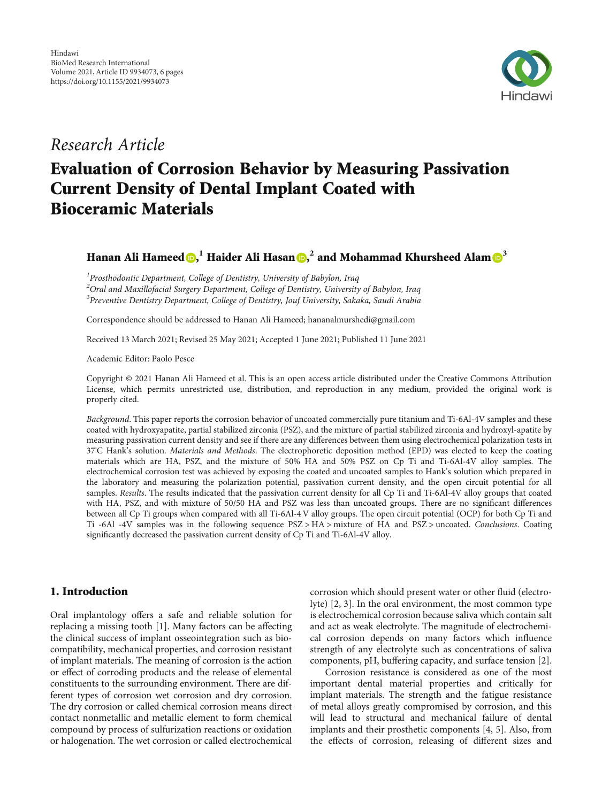

## Research Article

# Evaluation of Corrosion Behavior by Measuring Passivation Current Density of Dental Implant Coated with Bioceramic Materials

Hanan Ali Hameed **D[,](https://orcid.org/0000-0002-4630-1998)**  $^1$  **Haider Ali Hasan D,**  $^2$  **and Mohammad Khursheed Alam**  $\mathbf{D}^3$  $\mathbf{D}^3$ 

<sup>1</sup> Prosthodontic Department, College of Dentistry, University of Babylon, Iraq  $^2$ Oral and Maxillofacial Surgery Department, College of Dentistry, University of Babylon, Iraq  $^3$ Preventive Dentistry Department, College of Dentistry, Jouf University, Sakaka, Saudi Arabia

Correspondence should be addressed to Hanan Ali Hameed; hananalmurshedi@gmail.com

Received 13 March 2021; Revised 25 May 2021; Accepted 1 June 2021; Published 11 June 2021

Academic Editor: Paolo Pesce

Copyright © 2021 Hanan Ali Hameed et al. This is an open access article distributed under the [Creative Commons Attribution](https://creativecommons.org/licenses/by/4.0/) [License,](https://creativecommons.org/licenses/by/4.0/) which permits unrestricted use, distribution, and reproduction in any medium, provided the original work is properly cited.

Background. This paper reports the corrosion behavior of uncoated commercially pure titanium and Ti-6Al-4V samples and these coated with hydroxyapatite, partial stabilized zirconia (PSZ), and the mixture of partial stabilized zirconia and hydroxyl-apatite by measuring passivation current density and see if there are any differences between them using electrochemical polarization tests in 37°C Hank's solution. Materials and Methods. The electrophoretic deposition method (EPD) was elected to keep the coating materials which are HA, PSZ, and the mixture of 50% HA and 50% PSZ on Cp Ti and Ti-6Al-4V alloy samples. The electrochemical corrosion test was achieved by exposing the coated and uncoated samples to Hank's solution which prepared in the laboratory and measuring the polarization potential, passivation current density, and the open circuit potential for all samples. Results. The results indicated that the passivation current density for all Cp Ti and Ti-6Al-4V alloy groups that coated with HA, PSZ, and with mixture of 50/50 HA and PSZ was less than uncoated groups. There are no significant differences between all Cp Ti groups when compared with all Ti-6Al-4 V alloy groups. The open circuit potential (OCP) for both Cp Ti and Ti -6Al -4V samples was in the following sequence PSZ > HA > mixture of HA and PSZ > uncoated. Conclusions. Coating significantly decreased the passivation current density of Cp Ti and Ti-6Al-4V alloy.

## 1. Introduction

Oral implantology offers a safe and reliable solution for replacing a missing tooth [[1](#page-5-0)]. Many factors can be affecting the clinical success of implant osseointegration such as biocompatibility, mechanical properties, and corrosion resistant of implant materials. The meaning of corrosion is the action or effect of corroding products and the release of elemental constituents to the surrounding environment. There are different types of corrosion wet corrosion and dry corrosion. The dry corrosion or called chemical corrosion means direct contact nonmetallic and metallic element to form chemical compound by process of sulfurization reactions or oxidation or halogenation. The wet corrosion or called electrochemical

corrosion which should present water or other fluid (electrolyte) [[2, 3](#page-5-0)]. In the oral environment, the most common type is electrochemical corrosion because saliva which contain salt and act as weak electrolyte. The magnitude of electrochemical corrosion depends on many factors which influence strength of any electrolyte such as concentrations of saliva components, pH, buffering capacity, and surface tension [[2](#page-5-0)].

Corrosion resistance is considered as one of the most important dental material properties and critically for implant materials. The strength and the fatigue resistance of metal alloys greatly compromised by corrosion, and this will lead to structural and mechanical failure of dental implants and their prosthetic components [\[4](#page-5-0), [5\]](#page-5-0). Also, from the effects of corrosion, releasing of different sizes and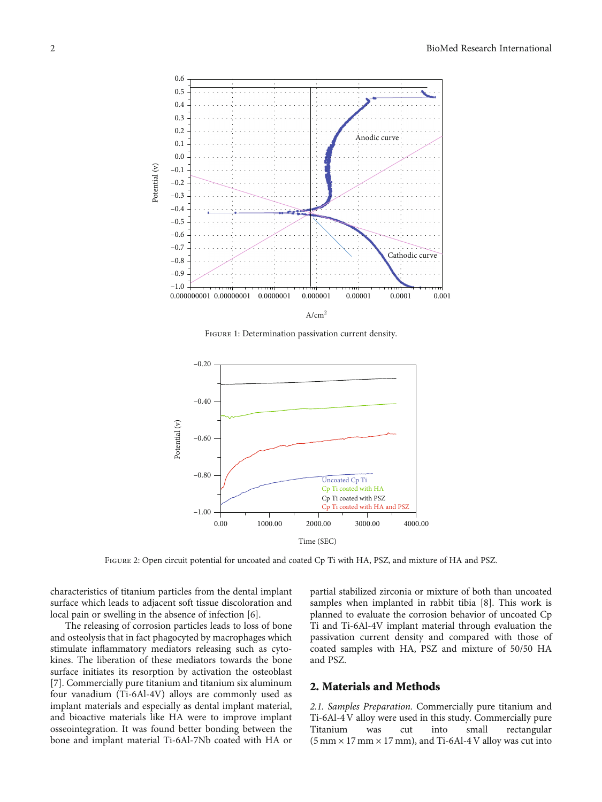<span id="page-1-0"></span>

Figure 1: Determination passivation current density.



Figure 2: Open circuit potential for uncoated and coated Cp Ti with HA, PSZ, and mixture of HA and PSZ.

characteristics of titanium particles from the dental implant surface which leads to adjacent soft tissue discoloration and local pain or swelling in the absence of infection [[6](#page-5-0)].

The releasing of corrosion particles leads to loss of bone and osteolysis that in fact phagocyted by macrophages which stimulate inflammatory mediators releasing such as cytokines. The liberation of these mediators towards the bone surface initiates its resorption by activation the osteoblast [\[7](#page-5-0)]. Commercially pure titanium and titanium six aluminum four vanadium (Ti-6Al-4V) alloys are commonly used as implant materials and especially as dental implant material, and bioactive materials like HA were to improve implant osseointegration. It was found better bonding between the bone and implant material Ti-6Al-7Nb coated with HA or

partial stabilized zirconia or mixture of both than uncoated samples when implanted in rabbit tibia [\[8\]](#page-5-0). This work is planned to evaluate the corrosion behavior of uncoated Cp Ti and Ti-6Al-4V implant material through evaluation the passivation current density and compared with those of coated samples with HA, PSZ and mixture of 50/50 HA and PSZ.

## 2. Materials and Methods

2.1. Samples Preparation. Commercially pure titanium and Ti-6Al-4 V alloy were used in this study. Commercially pure Titanium was cut into small rectangular  $(5 \text{ mm} \times 17 \text{ mm} \times 17 \text{ mm})$ , and Ti-6Al-4 V alloy was cut into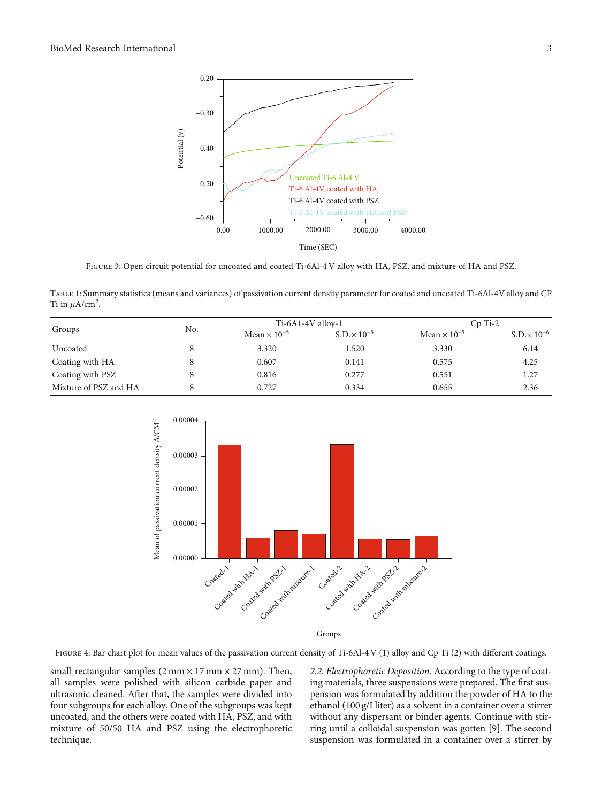

FIGURE 3: Open circuit potential for uncoated and coated Ti-6Al-4 V alloy with HA, PSZ, and mixture of HA and PSZ.

Table 1: Summary statistics (means and variances) of passivation current density parameter for coated and uncoated Ti-6Al-4V alloy and CP Ti in  $\mu$ A/cm<sup>2</sup>.

|                       |     | $Ti-6A1-4V$ alloy-1   |                       | $Cp$ Ti-2             |                       |
|-----------------------|-----|-----------------------|-----------------------|-----------------------|-----------------------|
| Groups                | No. | Mean $\times 10^{-5}$ | $S.D. \times 10^{-5}$ | Mean $\times 10^{-5}$ | $S.D. \times 10^{-6}$ |
| Uncoated              |     | 3.320                 | 1.520                 | 3.330                 | 6.14                  |
| Coating with HA       |     | 0.607                 | 0.141                 | 0.575                 | 4.25                  |
| Coating with PSZ      |     | 0.816                 | 0.277                 | 0.551                 | 1.27                  |
| Mixture of PSZ and HA |     | 0.727                 | 0.334                 | 0.655                 | 2.36                  |

<span id="page-2-0"></span>

small rectangular samples  $(2 \text{ mm} \times 17 \text{ mm} \times 27 \text{ mm})$ . Then, all samples were polished with silicon carbide paper and ultrasonic cleaned. After that, the samples were divided into four subgroups for each alloy. One of the subgroups was kept uncoated, and the others were coated with HA, PSZ, and with mixture of 50/50 HA and PSZ using the electrophoretic technique.

2.2. Electrophoretic Deposition. According to the type of coating materials, three suspensions were prepared. The first suspension was formulated by addition the powder of HA to the ethanol (100 g/I liter) as a solvent in a container over a stirrer without any dispersant or binder agents. Continue with stirring until a colloidal suspension was gotten [\[9](#page-5-0)]. The second suspension was formulated in a container over a stirrer by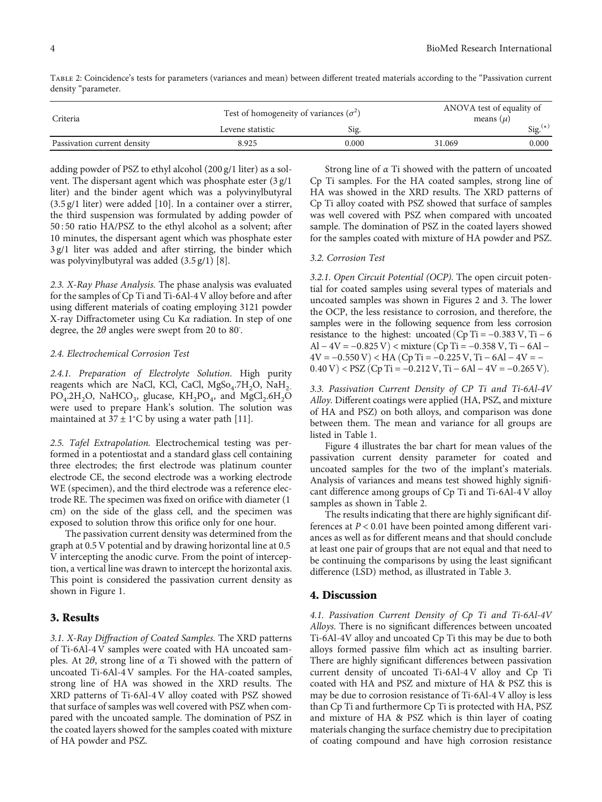| Criteria                    | Test of homogeneity of variances $(\sigma^2)$ | ANOVA test of equality of<br>means $(\mu)$ |        |                     |
|-----------------------------|-----------------------------------------------|--------------------------------------------|--------|---------------------|
|                             | Levene statistic                              | Sig.                                       |        | $\text{Sig.}^{(*)}$ |
| Passivation current density | 8.925                                         | 0.000                                      | 31.069 | 0.000               |

Table 2: Coincidence's tests for parameters (variances and mean) between different treated materials according to the "Passivation current density "parameter.

adding powder of PSZ to ethyl alcohol (200 g/1 liter) as a solvent. The dispersant agent which was phosphate ester (3 g/1 liter) and the binder agent which was a polyvinylbutyral (3.5 g/1 liter) were added [[10](#page-5-0)]. In a container over a stirrer, the third suspension was formulated by adding powder of 50 : 50 ratio HA/PSZ to the ethyl alcohol as a solvent; after 10 minutes, the dispersant agent which was phosphate ester 3 g/1 liter was added and after stirring, the binder which was polyvinylbutyral was added (3.5 g/1) [[8\]](#page-5-0).

2.3. X-Ray Phase Analysis. The phase analysis was evaluated for the samples of Cp Ti and Ti-6Al-4 V alloy before and after using different materials of coating employing 3121 powder X-ray Diffractometer using Cu K*α* radiation. In step of one degree, the 2*θ* angles were swept from 20 to 80° .

#### 2.4. Electrochemical Corrosion Test

2.4.1. Preparation of Electrolyte Solution. High purity reagents which are NaCl, KCl, CaCl,  $MgSo<sub>4</sub>.7H<sub>2</sub>O$ , NaH<sub>2-</sub>  $PO_4.2H_2O$ , NaHCO<sub>3</sub>, glucase, KH<sub>2</sub>PO<sub>4</sub>, and MgCl<sub>2</sub>.6H<sub>2</sub>O were used to prepare Hank's solution. The solution was maintained at  $37 \pm 1^{\circ}$ C by using a water path [\[11\]](#page-5-0).

2.5. Tafel Extrapolation. Electrochemical testing was performed in a potentiostat and a standard glass cell containing three electrodes; the first electrode was platinum counter electrode CE, the second electrode was a working electrode WE (specimen), and the third electrode was a reference electrode RE. The specimen was fixed on orifice with diameter (1 cm) on the side of the glass cell, and the specimen was exposed to solution throw this orifice only for one hour.

The passivation current density was determined from the graph at 0.5 V potential and by drawing horizontal line at 0.5 V intercepting the anodic curve. From the point of interception, a vertical line was drawn to intercept the horizontal axis. This point is considered the passivation current density as shown in Figure [1.](#page-1-0)

## 3. Results

3.1. X-Ray Diffraction of Coated Samples. The XRD patterns of Ti-6Al-4 V samples were coated with HA uncoated samples. At 2*θ*, strong line of *α* Ti showed with the pattern of uncoated Ti-6Al-4 V samples. For the HA-coated samples, strong line of HA was showed in the XRD results. The XRD patterns of Ti-6Al-4 V alloy coated with PSZ showed that surface of samples was well covered with PSZ when compared with the uncoated sample. The domination of PSZ in the coated layers showed for the samples coated with mixture of HA powder and PSZ.

Strong line of *α* Ti showed with the pattern of uncoated Cp Ti samples. For the HA coated samples, strong line of HA was showed in the XRD results. The XRD patterns of Cp Ti alloy coated with PSZ showed that surface of samples was well covered with PSZ when compared with uncoated sample. The domination of PSZ in the coated layers showed for the samples coated with mixture of HA powder and PSZ.

#### 3.2. Corrosion Test

3.2.1. Open Circuit Potential (OCP). The open circuit potential for coated samples using several types of materials and uncoated samples was shown in Figures [2](#page-1-0) and [3](#page-2-0). The lower the OCP, the less resistance to corrosion, and therefore, the samples were in the following sequence from less corrosion resistance to the highest: uncoated  $(Cp Ti = -0.383 V, Ti - 6$ Al – 4V = –0.825 V) < mixture (Cp Ti = –0.358 V, Ti – 6Al –  $4V = -0.550 V$  < HA (Cp Ti =  $-0.225 V$ , Ti  $-6Al - 4V = -$ 0*.*40 V) < PSZ (Cp Ti = −0*.212 V*, Ti − 6Al − 4V = −0*.265 V*).

3.3. Passivation Current Density of CP Ti and Ti-6Al-4V Alloy. Different coatings were applied (HA, PSZ, and mixture of HA and PSZ) on both alloys, and comparison was done between them. The mean and variance for all groups are listed in Table [1](#page-2-0).

Figure [4](#page-2-0) illustrates the bar chart for mean values of the passivation current density parameter for coated and uncoated samples for the two of the implant's materials. Analysis of variances and means test showed highly significant difference among groups of Cp Ti and Ti-6Al-4 V alloy samples as shown in Table 2.

The results indicating that there are highly significant differences at *P* < 0*:*01 have been pointed among different variances as well as for different means and that should conclude at least one pair of groups that are not equal and that need to be continuing the comparisons by using the least significant difference (LSD) method, as illustrated in Table [3](#page-4-0).

## 4. Discussion

4.1. Passivation Current Density of Cp Ti and Ti-6Al-4V Alloys. There is no significant differences between uncoated Ti-6Al-4V alloy and uncoated Cp Ti this may be due to both alloys formed passive film which act as insulting barrier. There are highly significant differences between passivation current density of uncoated Ti-6Al-4 V alloy and Cp Ti coated with HA and PSZ and mixture of HA & PSZ this is may be due to corrosion resistance of Ti-6Al-4 V alloy is less than Cp Ti and furthermore Cp Ti is protected with HA, PSZ and mixture of HA & PSZ which is thin layer of coating materials changing the surface chemistry due to precipitation of coating compound and have high corrosion resistance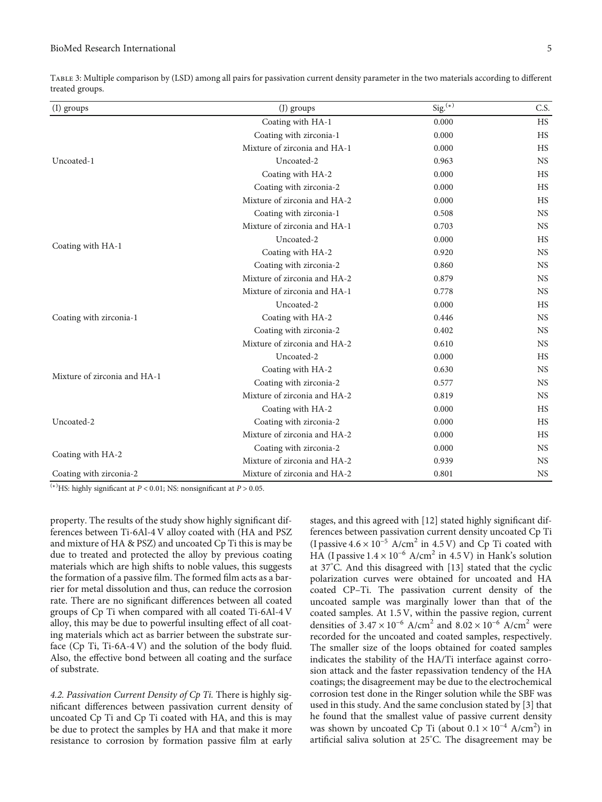| (I) groups                   | (J) groups                                                                     | $\overline{\text{Sig.}}^{(*)}$ | C.S.      |
|------------------------------|--------------------------------------------------------------------------------|--------------------------------|-----------|
|                              | Coating with HA-1                                                              | 0.000                          | <b>HS</b> |
|                              | Coating with zirconia-1                                                        | 0.000                          | HS        |
|                              | Mixture of zirconia and HA-1                                                   | 0.000                          | HS        |
| Uncoated-1                   | Uncoated-2                                                                     | 0.963                          | <b>NS</b> |
|                              | Coating with HA-2                                                              | 0.000                          | <b>HS</b> |
|                              | Coating with zirconia-2                                                        | 0.000                          | <b>HS</b> |
|                              | Mixture of zirconia and HA-2                                                   | 0.000                          | HS        |
|                              | Coating with zirconia-1                                                        | 0.508                          | <b>NS</b> |
|                              | Mixture of zirconia and HA-1                                                   | 0.703                          | <b>NS</b> |
|                              | Uncoated-2                                                                     | 0.000                          | <b>HS</b> |
| Coating with HA-1            | Coating with HA-2                                                              | 0.920                          | <b>NS</b> |
|                              | Coating with zirconia-2                                                        | 0.860                          | <b>NS</b> |
|                              | Mixture of zirconia and HA-2                                                   | 0.879                          | <b>NS</b> |
|                              | Mixture of zirconia and HA-1                                                   | 0.778                          | <b>NS</b> |
|                              | Uncoated-2                                                                     | 0.000                          | <b>HS</b> |
| Coating with zirconia-1      | Coating with HA-2                                                              | 0.446                          | <b>NS</b> |
|                              | Coating with zirconia-2                                                        | 0.402                          | <b>NS</b> |
|                              | Mixture of zirconia and HA-2                                                   | 0.610                          | <b>NS</b> |
|                              | Uncoated-2                                                                     | 0.000                          | <b>HS</b> |
|                              | Coating with HA-2                                                              | 0.630                          | <b>NS</b> |
| Mixture of zirconia and HA-1 | Coating with zirconia-2                                                        | 0.577                          | <b>NS</b> |
|                              | Mixture of zirconia and HA-2                                                   | 0.819                          | <b>NS</b> |
|                              | Coating with HA-2                                                              | 0.000                          | <b>HS</b> |
| Uncoated-2                   | Coating with zirconia-2                                                        | 0.000                          | <b>HS</b> |
|                              | Mixture of zirconia and HA-2                                                   | 0.000                          | HS        |
|                              | Coating with zirconia-2                                                        | 0.000                          | <b>NS</b> |
| Coating with HA-2            | Mixture of zirconia and HA-2<br>0.939<br>Mixture of zirconia and HA-2<br>0.801 | <b>NS</b>                      |           |
| Coating with zirconia-2      |                                                                                |                                | <b>NS</b> |

<span id="page-4-0"></span>Table 3: Multiple comparison by (LSD) among all pairs for passivation current density parameter in the two materials according to different treated groups.

(∗) HS: highly significant at *P* < 0*:*01; NS: nonsignificant at *P* > 0*:*05.

property. The results of the study show highly significant differences between Ti-6Al-4 V alloy coated with (HA and PSZ and mixture of HA & PSZ) and uncoated Cp Ti this is may be due to treated and protected the alloy by previous coating materials which are high shifts to noble values, this suggests the formation of a passive film. The formed film acts as a barrier for metal dissolution and thus, can reduce the corrosion rate. There are no significant differences between all coated groups of Cp Ti when compared with all coated Ti-6Al-4 V alloy, this may be due to powerful insulting effect of all coating materials which act as barrier between the substrate surface (Cp Ti, Ti-6A-4 V) and the solution of the body fluid. Also, the effective bond between all coating and the surface of substrate.

4.2. Passivation Current Density of Cp Ti. There is highly significant differences between passivation current density of uncoated Cp Ti and Cp Ti coated with HA, and this is may be due to protect the samples by HA and that make it more resistance to corrosion by formation passive film at early stages, and this agreed with [[12](#page-5-0)] stated highly significant differences between passivation current density uncoated Cp Ti (I passive  $4.6 \times 10^{-5}$  A/cm<sup>2</sup> in  $4.5$  V) and Cp Ti coated with HA (I passive  $1.4 \times 10^{-6}$  A/cm<sup>2</sup> in 4.5 V) in Hank's solution at 37°C. And this disagreed with [\[13\]](#page-5-0) stated that the cyclic polarization curves were obtained for uncoated and HA coated CP–Ti. The passivation current density of the uncoated sample was marginally lower than that of the coated samples. At 1.5 V, within the passive region, current densities of  $3.47 \times 10^{-6}$  A/cm<sup>2</sup> and  $8.02 \times 10^{-6}$  A/cm<sup>2</sup> were recorded for the uncoated and coated samples, respectively. The smaller size of the loops obtained for coated samples indicates the stability of the HA/Ti interface against corrosion attack and the faster repassivation tendency of the HA coatings; the disagreement may be due to the electrochemical corrosion test done in the Ringer solution while the SBF was used in this study. And the same conclusion stated by [\[3\]](#page-5-0) that he found that the smallest value of passive current density was shown by uncoated Cp Ti (about  $0.1 \times 10^{-4}$  A/cm<sup>2</sup>) in artificial saliva solution at 25° C. The disagreement may be